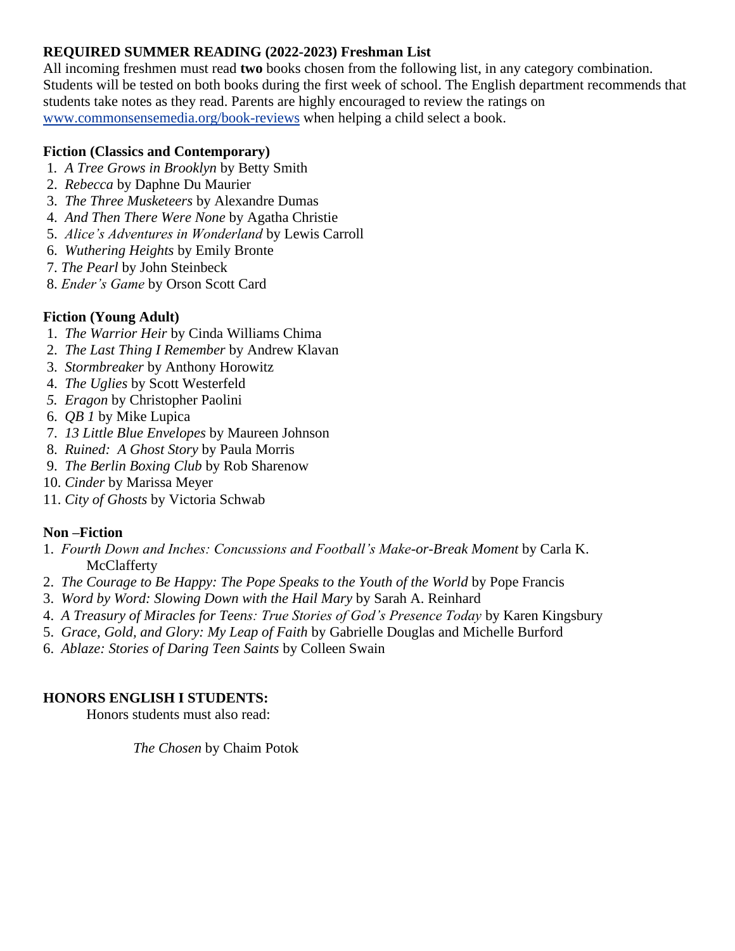### **REQUIRED SUMMER READING (2022-2023) Freshman List**

All incoming freshmen must read **two** books chosen from the following list, in any category combination. Students will be tested on both books during the first week of school. The English department recommends that students take notes as they read. Parents are highly encouraged to review the ratings on [www.commonsensemedia.org/book-reviews](http://www.commonsensemedia.org/book-reviews) when helping a child select a book.

### **Fiction (Classics and Contemporary)**

- 1*. A Tree Grows in Brooklyn* by Betty Smith
- 2. *Rebecca* by Daphne Du Maurier
- 3. *The Three Musketeers* by Alexandre Dumas
- 4. *And Then There Were None* by Agatha Christie
- 5. *Alice's Adventures in Wonderland* by Lewis Carroll
- 6. *Wuthering Heights* by Emily Bronte
- 7. *The Pearl* by John Steinbeck
- 8. *Ender's Game* by Orson Scott Card

# **Fiction (Young Adult)**

- 1. *The Warrior Heir* by Cinda Williams Chima
- 2. *The Last Thing I Remember* by Andrew Klavan
- 3. *Stormbreaker* by Anthony Horowitz
- 4. *The Uglies* by Scott Westerfeld
- *5. Eragon* by Christopher Paolini
- 6. *QB 1* by Mike Lupica
- 7. *13 Little Blue Envelopes* by Maureen Johnson
- 8. *Ruined: A Ghost Story* by Paula Morris
- 9. *The Berlin Boxing Club* by Rob Sharenow
- 10. *Cinder* by Marissa Meyer
- 11. *City of Ghosts* by Victoria Schwab

# **Non –Fiction**

- 1. *Fourth Down and Inches: Concussions and Football's Make-or-Break Moment* by Carla K. McClafferty
- 2. *The Courage to Be Happy: The Pope Speaks to the Youth of the World* by Pope Francis
- 3. *Word by Word: Slowing Down with the Hail Mary* by Sarah A. Reinhard
- 4. *A Treasury of Miracles for Teens: True Stories of God's Presence Today* by Karen Kingsbury
- 5. *Grace, Gold, and Glory: My Leap of Faith* by Gabrielle Douglas and Michelle Burford
- 6. *Ablaze: Stories of Daring Teen Saints* by Colleen Swain

#### **HONORS ENGLISH I STUDENTS:**

Honors students must also read:

*The Chosen* by Chaim Potok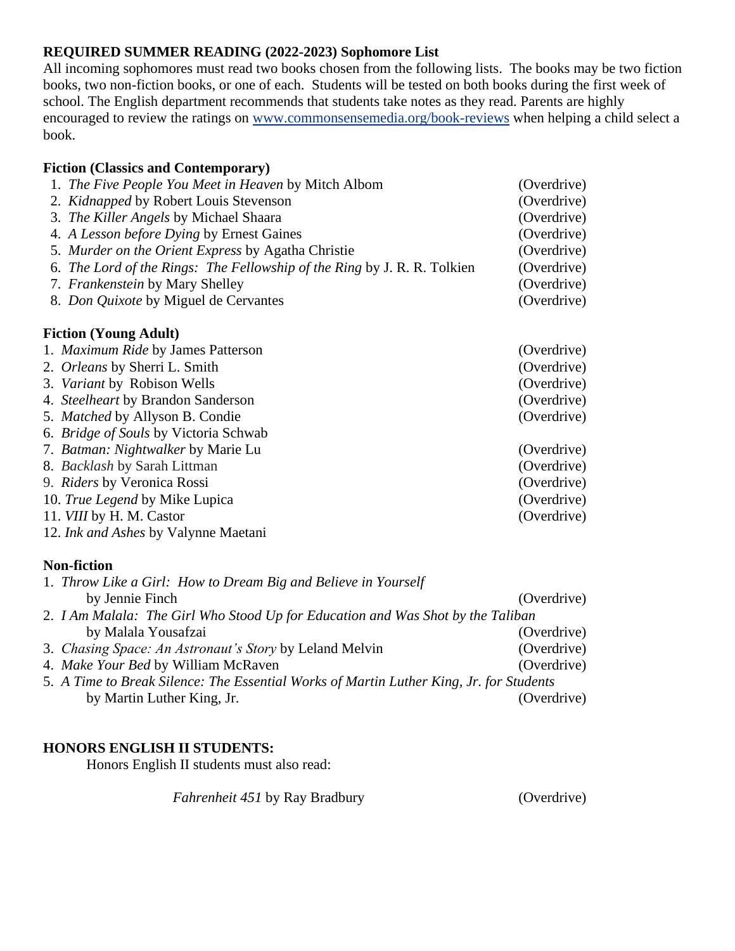### **REQUIRED SUMMER READING (2022-2023) Sophomore List**

All incoming sophomores must read two books chosen from the following lists. The books may be two fiction books, two non-fiction books, or one of each. Students will be tested on both books during the first week of school. The English department recommends that students take notes as they read. Parents are highly encouraged to review the ratings on [www.commonsensemedia.org/book-reviews](http://www.commonsensemedia.org/book-reviews) when helping a child select a book.

#### **Fiction (Classics and Contemporary)**

| 1. The Five People You Meet in Heaven by Mitch Albom                     | (Overdrive)                |
|--------------------------------------------------------------------------|----------------------------|
| 2. Kidnapped by Robert Louis Stevenson                                   | (Overdrive)                |
| 3. The Killer Angels by Michael Shaara                                   | (Overdrive)                |
| 4. A Lesson before Dying by Ernest Gaines                                | (Overdrive)                |
| 5. Murder on the Orient Express by Agatha Christie                       | (Overdrive)<br>(Overdrive) |
| 6. The Lord of the Rings: The Fellowship of the Ring by J. R. R. Tolkien |                            |
| 7. Frankenstein by Mary Shelley                                          | (Overdrive)                |
| 8. Don Quixote by Miguel de Cervantes                                    | (Overdrive)                |
| <b>Fiction (Young Adult)</b>                                             |                            |
| 1. Maximum Ride by James Patterson                                       | (Overdrive)                |
| 2. Orleans by Sherri L. Smith                                            | (Overdrive)                |
| 3. Variant by Robison Wells                                              | (Overdrive)                |
| 4. Steelheart by Brandon Sanderson                                       | (Overdrive)                |
| 5. Matched by Allyson B. Condie                                          | (Overdrive)                |
| 6. Bridge of Souls by Victoria Schwab                                    |                            |
| 7. Batman: Nightwalker by Marie Lu                                       | (Overdrive)                |
| 8. Backlash by Sarah Littman                                             | (Overdrive)                |
| 9. Riders by Veronica Rossi                                              | (Overdrive)                |
| 10. True Legend by Mike Lupica                                           | (Overdrive)                |
| 11. VIII by H. M. Castor                                                 | (Overdrive)                |
| 12. Ink and Ashes by Valynne Maetani                                     |                            |
| <b>Non-fiction</b>                                                       |                            |
| 1. Throw Like a Girl: How to Dream Big and Believe in Yourself           |                            |
|                                                                          | $\sim$ $\sim$ $\sim$       |

- by Jennie Finch (Overdrive) 2. *I Am Malala: The Girl Who Stood Up for Education and Was Shot by the Taliban*  **by Malala Yousafzai** (Overdrive) *COVERSITY COVERSITY COVERSITY COVERSITY COVERSITY COVERSITY COVERSITY COVERSITY COVERSITY COVERSITY COVERSITY COVERSITY COVERSITY COVE* 3. *Chasing Space: An Astronaut's Story* by Leland Melvin (Overdrive) 4. *Make Your Bed* by William McRaven (Overdrive) 5. *A Time to Break Silence: The Essential Works of Martin Luther King, Jr. for Students*
	- by Martin Luther King, Jr. (Overdrive)

#### **HONORS ENGLISH II STUDENTS:**

Honors English II students must also read:

*Fahrenheit 451* by Ray Bradbury (Overdrive)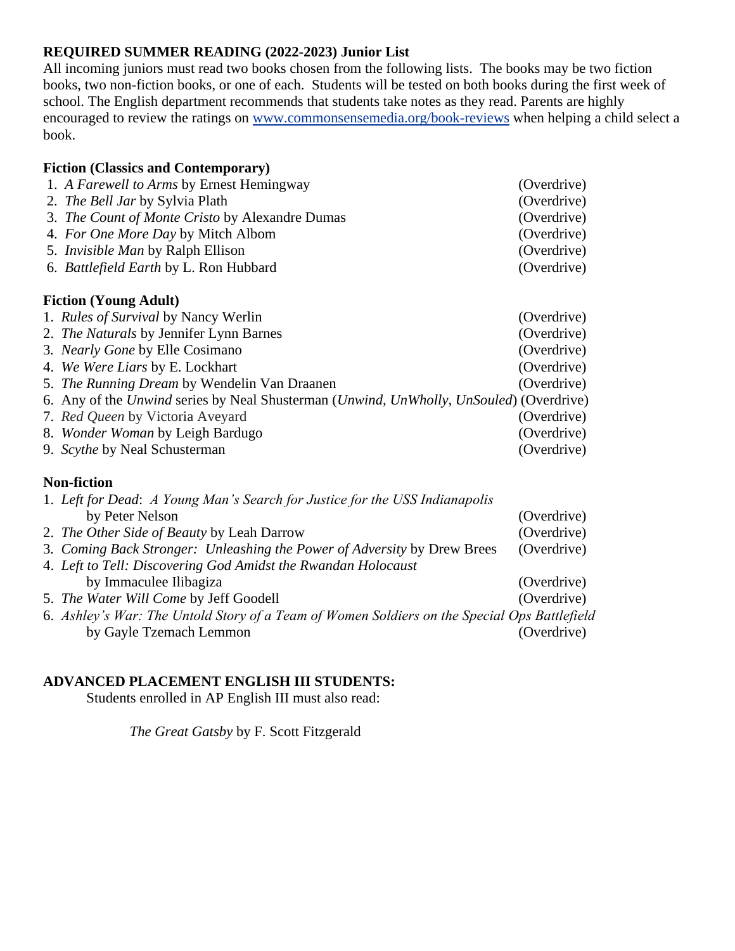### **REQUIRED SUMMER READING (2022-2023) Junior List**

All incoming juniors must read two books chosen from the following lists. The books may be two fiction books, two non-fiction books, or one of each. Students will be tested on both books during the first week of school. The English department recommends that students take notes as they read. Parents are highly encouraged to review the ratings on [www.commonsensemedia.org/book-reviews](http://www.commonsensemedia.org/book-reviews) when helping a child select a book.

| <b>Fiction (Classics and Contemporary)</b>                                              |             |  |  |
|-----------------------------------------------------------------------------------------|-------------|--|--|
| 1. A Farewell to Arms by Ernest Hemingway                                               | (Overdrive) |  |  |
| 2. <i>The Bell Jar by Sylvia Plath</i>                                                  | (Overdrive) |  |  |
| 3. The Count of Monte Cristo by Alexandre Dumas                                         | (Overdrive) |  |  |
| 4. For One More Day by Mitch Albom                                                      | (Overdrive) |  |  |
| 5. <i>Invisible Man</i> by Ralph Ellison                                                | (Overdrive) |  |  |
| 6. Battlefield Earth by L. Ron Hubbard                                                  | (Overdrive) |  |  |
|                                                                                         |             |  |  |
| <b>Fiction (Young Adult)</b>                                                            |             |  |  |
| 1. <i>Rules of Survival</i> by Nancy Werlin                                             | (Overdrive) |  |  |
| 2. The Naturals by Jennifer Lynn Barnes                                                 | (Overdrive) |  |  |
| 3. Nearly Gone by Elle Cosimano                                                         | (Overdrive) |  |  |
| 4. We Were Liars by E. Lockhart                                                         | (Overdrive) |  |  |
| 5. <i>The Running Dream</i> by Wendelin Van Draanen                                     | (Overdrive) |  |  |
| 6. Any of the Unwind series by Neal Shusterman (Unwind, UnWholly, UnSouled) (Overdrive) |             |  |  |
| 7. Red Queen by Victoria Aveyard                                                        | (Overdrive) |  |  |
| 8. Wonder Woman by Leigh Bardugo                                                        | (Overdrive) |  |  |

**Non-fiction**

| 1. Left for Dead: A Young Man's Search for Justice for the USS Indianapolis                  |             |
|----------------------------------------------------------------------------------------------|-------------|
| by Peter Nelson                                                                              | (Overdrive) |
| 2. The Other Side of Beauty by Leah Darrow                                                   | (Overdrive) |
| 3. Coming Back Stronger: Unleashing the Power of Adversity by Drew Brees                     | (Overdrive) |
| 4. Left to Tell: Discovering God Amidst the Rwandan Holocaust                                |             |
| by Immaculee Ilibagiza                                                                       | (Overdrive) |
| 5. The Water Will Come by Jeff Goodell                                                       | (Overdrive) |
| 6. Ashley's War: The Untold Story of a Team of Women Soldiers on the Special Ops Battlefield |             |
| by Gayle Tzemach Lemmon                                                                      | (Overdrive) |

9. *Scythe* by Neal Schusterman (Overdrive)

#### **ADVANCED PLACEMENT ENGLISH III STUDENTS:**

Students enrolled in AP English III must also read:

*The Great Gatsby* by F. Scott Fitzgerald